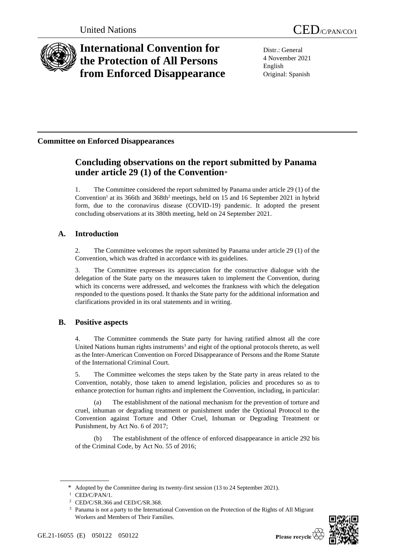

# **International Convention for the Protection of All Persons from Enforced Disappearance**

Distr.: General 4 November 2021 English Original: Spanish

## **Committee on Enforced Disappearances**

## **Concluding observations on the report submitted by Panama under article 29 (1) of the Convention**\*

1. The Committee considered the report submitted by Panama under article 29 (1) of the Convention<sup>1</sup> at its 366th and 368th<sup>2</sup> meetings, held on 15 and 16 September 2021 in hybrid form, due to the coronavirus disease (COVID-19) pandemic. It adopted the present concluding observations at its 380th meeting, held on 24 September 2021.

## **A. Introduction**

2. The Committee welcomes the report submitted by Panama under article 29 (1) of the Convention, which was drafted in accordance with its guidelines.

3. The Committee expresses its appreciation for the constructive dialogue with the delegation of the State party on the measures taken to implement the Convention, during which its concerns were addressed, and welcomes the frankness with which the delegation responded to the questions posed. It thanks the State party for the additional information and clarifications provided in its oral statements and in writing.

## **B. Positive aspects**

4. The Committee commends the State party for having ratified almost all the core United Nations human rights instruments<sup>3</sup> and eight of the optional protocols thereto, as well as the Inter-American Convention on Forced Disappearance of Persons and the Rome Statute of the International Criminal Court.

5. The Committee welcomes the steps taken by the State party in areas related to the Convention, notably, those taken to amend legislation, policies and procedures so as to enhance protection for human rights and implement the Convention, including, in particular:

(a) The establishment of the national mechanism for the prevention of torture and cruel, inhuman or degrading treatment or punishment under the Optional Protocol to the Convention against Torture and Other Cruel, Inhuman or Degrading Treatment or Punishment, by Act No. 6 of 2017;

(b) The establishment of the offence of enforced disappearance in article 292 bis of the Criminal Code, by Act No. 55 of 2016;

<sup>&</sup>lt;sup>3</sup> Panama is not a party to the International Convention on the Protection of the Rights of All Migrant Workers and Members of Their Families.



<sup>\*</sup> Adopted by the Committee during its twenty-first session (13 to 24 September 2021).

CED/C/PAN/1.

<sup>2</sup> CED/C/SR.366 and CED/C/SR.368.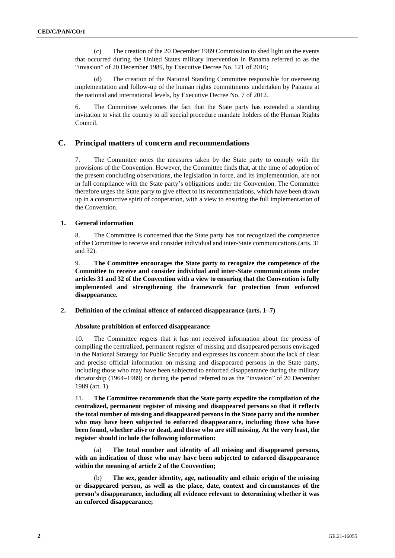(c) The creation of the 20 December 1989 Commission to shed light on the events that occurred during the United States military intervention in Panama referred to as the "invasion" of 20 December 1989, by Executive Decree No. 121 of 2016;

(d) The creation of the National Standing Committee responsible for overseeing implementation and follow-up of the human rights commitments undertaken by Panama at the national and international levels, by Executive Decree No. 7 of 2012.

6. The Committee welcomes the fact that the State party has extended a standing invitation to visit the country to all special procedure mandate holders of the Human Rights Council.

#### **C. Principal matters of concern and recommendations**

7. The Committee notes the measures taken by the State party to comply with the provisions of the Convention. However, the Committee finds that, at the time of adoption of the present concluding observations, the legislation in force, and its implementation, are not in full compliance with the State party's obligations under the Convention. The Committee therefore urges the State party to give effect to its recommendations, which have been drawn up in a constructive spirit of cooperation, with a view to ensuring the full implementation of the Convention.

#### **1. General information**

8. The Committee is concerned that the State party has not recognized the competence of the Committee to receive and consider individual and inter-State communications (arts. 31 and 32).

9. **The Committee encourages the State party to recognize the competence of the Committee to receive and consider individual and inter-State communications under articles 31 and 32 of the Convention with a view to ensuring that the Convention is fully implemented and strengthening the framework for protection from enforced disappearance.**

**2. Definition of the criminal offence of enforced disappearance (arts. 1–7)**

#### **Absolute prohibition of enforced disappearance**

10. The Committee regrets that it has not received information about the process of compiling the centralized, permanent register of missing and disappeared persons envisaged in the National Strategy for Public Security and expresses its concern about the lack of clear and precise official information on missing and disappeared persons in the State party, including those who may have been subjected to enforced disappearance during the military dictatorship (1964–1989) or during the period referred to as the "invasion" of 20 December 1989 (art. 1).

11. **The Committee recommends that the State party expedite the compilation of the centralized, permanent register of missing and disappeared persons so that it reflects the total number of missing and disappeared persons in the State party and the number who may have been subjected to enforced disappearance, including those who have been found, whether alive or dead, and those who are still missing. At the very least, the register should include the following information:**

(a) **The total number and identity of all missing and disappeared persons, with an indication of those who may have been subjected to enforced disappearance within the meaning of article 2 of the Convention;**

(b) **The sex, gender identity, age, nationality and ethnic origin of the missing or disappeared person, as well as the place, date, context and circumstances of the person's disappearance, including all evidence relevant to determining whether it was an enforced disappearance;**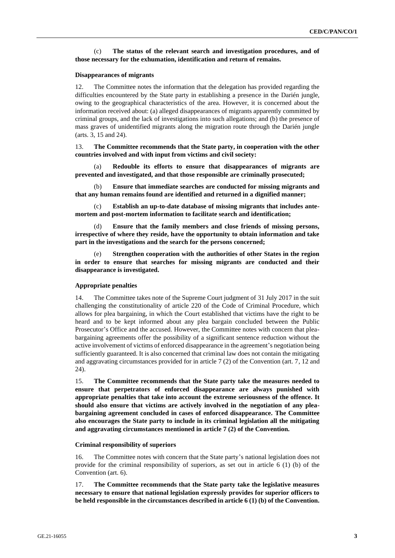#### (c) **The status of the relevant search and investigation procedures, and of those necessary for the exhumation, identification and return of remains.**

#### **Disappearances of migrants**

12. The Committee notes the information that the delegation has provided regarding the difficulties encountered by the State party in establishing a presence in the Darién jungle, owing to the geographical characteristics of the area. However, it is concerned about the information received about: (a) alleged disappearances of migrants apparently committed by criminal groups, and the lack of investigations into such allegations; and (b) the presence of mass graves of unidentified migrants along the migration route through the Darién jungle (arts. 3, 15 and 24).

13. **The Committee recommends that the State party, in cooperation with the other countries involved and with input from victims and civil society:**

(a) **Redouble its efforts to ensure that disappearances of migrants are prevented and investigated, and that those responsible are criminally prosecuted;**

(b) **Ensure that immediate searches are conducted for missing migrants and that any human remains found are identified and returned in a dignified manner;**

Establish an up-to-date database of missing migrants that includes ante**mortem and post-mortem information to facilitate search and identification;**

(d) **Ensure that the family members and close friends of missing persons, irrespective of where they reside, have the opportunity to obtain information and take part in the investigations and the search for the persons concerned;**

(e) **Strengthen cooperation with the authorities of other States in the region in order to ensure that searches for missing migrants are conducted and their disappearance is investigated.**

#### **Appropriate penalties**

14. The Committee takes note of the Supreme Court judgment of 31 July 2017 in the suit challenging the constitutionality of article 220 of the Code of Criminal Procedure, which allows for plea bargaining, in which the Court established that victims have the right to be heard and to be kept informed about any plea bargain concluded between the Public Prosecutor's Office and the accused. However, the Committee notes with concern that pleabargaining agreements offer the possibility of a significant sentence reduction without the active involvement of victims of enforced disappearance in the agreement's negotiation being sufficiently guaranteed. It is also concerned that criminal law does not contain the mitigating and aggravating circumstances provided for in article 7 (2) of the Convention (art. 7, 12 and 24).

15. **The Committee recommends that the State party take the measures needed to ensure that perpetrators of enforced disappearance are always punished with appropriate penalties that take into account the extreme seriousness of the offence. It should also ensure that victims are actively involved in the negotiation of any pleabargaining agreement concluded in cases of enforced disappearance. The Committee also encourages the State party to include in its criminal legislation all the mitigating and aggravating circumstances mentioned in article 7 (2) of the Convention.**

#### **Criminal responsibility of superiors**

16. The Committee notes with concern that the State party's national legislation does not provide for the criminal responsibility of superiors, as set out in article 6 (1) (b) of the Convention (art. 6).

17. **The Committee recommends that the State party take the legislative measures necessary to ensure that national legislation expressly provides for superior officers to be held responsible in the circumstances described in article 6 (1) (b) of the Convention.**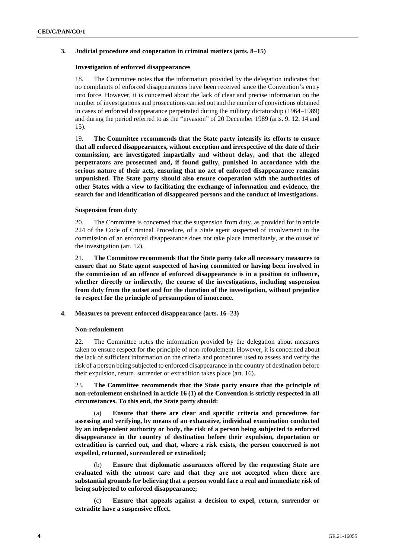#### **3. Judicial procedure and cooperation in criminal matters (arts. 8–15)**

#### **Investigation of enforced disappearances**

18. The Committee notes that the information provided by the delegation indicates that no complaints of enforced disappearances have been received since the Convention's entry into force. However, it is concerned about the lack of clear and precise information on the number of investigations and prosecutions carried out and the number of convictions obtained in cases of enforced disappearance perpetrated during the military dictatorship (1964–1989) and during the period referred to as the "invasion" of 20 December 1989 (arts. 9, 12, 14 and 15).

19. **The Committee recommends that the State party intensify its efforts to ensure that all enforced disappearances, without exception and irrespective of the date of their commission, are investigated impartially and without delay, and that the alleged perpetrators are prosecuted and, if found guilty, punished in accordance with the serious nature of their acts, ensuring that no act of enforced disappearance remains unpunished. The State party should also ensure cooperation with the authorities of other States with a view to facilitating the exchange of information and evidence, the search for and identification of disappeared persons and the conduct of investigations.**

#### **Suspension from duty**

20. The Committee is concerned that the suspension from duty, as provided for in article 224 of the Code of Criminal Procedure, of a State agent suspected of involvement in the commission of an enforced disappearance does not take place immediately, at the outset of the investigation (art. 12).

21. **The Committee recommends that the State party take all necessary measures to ensure that no State agent suspected of having committed or having been involved in the commission of an offence of enforced disappearance is in a position to influence, whether directly or indirectly, the course of the investigations, including suspension from duty from the outset and for the duration of the investigation, without prejudice to respect for the principle of presumption of innocence.**

#### **4. Measures to prevent enforced disappearance (arts. 16–23)**

#### **Non-refoulement**

22. The Committee notes the information provided by the delegation about measures taken to ensure respect for the principle of non-refoulement. However, it is concerned about the lack of sufficient information on the criteria and procedures used to assess and verify the risk of a person being subjected to enforced disappearance in the country of destination before their expulsion, return, surrender or extradition takes place (art. 16).

23. **The Committee recommends that the State party ensure that the principle of non-refoulement enshrined in article 16 (1) of the Convention is strictly respected in all circumstances. To this end, the State party should:**

(a) **Ensure that there are clear and specific criteria and procedures for assessing and verifying, by means of an exhaustive, individual examination conducted by an independent authority or body, the risk of a person being subjected to enforced disappearance in the country of destination before their expulsion, deportation or extradition is carried out, and that, where a risk exists, the person concerned is not expelled, returned, surrendered or extradited;**

(b) **Ensure that diplomatic assurances offered by the requesting State are evaluated with the utmost care and that they are not accepted when there are substantial grounds for believing that a person would face a real and immediate risk of being subjected to enforced disappearance;**

(c) **Ensure that appeals against a decision to expel, return, surrender or extradite have a suspensive effect.**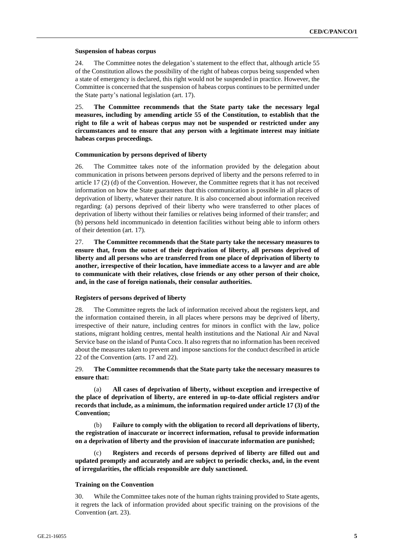#### **Suspension of habeas corpus**

24. The Committee notes the delegation's statement to the effect that, although article 55 of the Constitution allows the possibility of the right of habeas corpus being suspended when a state of emergency is declared, this right would not be suspended in practice. However, the Committee is concerned that the suspension of habeas corpus continues to be permitted under the State party's national legislation (art. 17).

25. **The Committee recommends that the State party take the necessary legal measures, including by amending article 55 of the Constitution, to establish that the right to file a writ of habeas corpus may not be suspended or restricted under any circumstances and to ensure that any person with a legitimate interest may initiate habeas corpus proceedings.**

#### **Communication by persons deprived of liberty**

26. The Committee takes note of the information provided by the delegation about communication in prisons between persons deprived of liberty and the persons referred to in article 17 (2) (d) of the Convention. However, the Committee regrets that it has not received information on how the State guarantees that this communication is possible in all places of deprivation of liberty, whatever their nature. It is also concerned about information received regarding: (a) persons deprived of their liberty who were transferred to other places of deprivation of liberty without their families or relatives being informed of their transfer; and (b) persons held incommunicado in detention facilities without being able to inform others of their detention (art. 17).

27. **The Committee recommends that the State party take the necessary measures to ensure that, from the outset of their deprivation of liberty, all persons deprived of liberty and all persons who are transferred from one place of deprivation of liberty to another, irrespective of their location, have immediate access to a lawyer and are able to communicate with their relatives, close friends or any other person of their choice, and, in the case of foreign nationals, their consular authorities.**

#### **Registers of persons deprived of liberty**

28. The Committee regrets the lack of information received about the registers kept, and the information contained therein, in all places where persons may be deprived of liberty, irrespective of their nature, including centres for minors in conflict with the law, police stations, migrant holding centres, mental health institutions and the National Air and Naval Service base on the island of Punta Coco. It also regrets that no information has been received about the measures taken to prevent and impose sanctions for the conduct described in article 22 of the Convention (arts. 17 and 22).

29. **The Committee recommends that the State party take the necessary measures to ensure that:**

(a) **All cases of deprivation of liberty, without exception and irrespective of the place of deprivation of liberty, are entered in up-to-date official registers and/or records that include, as a minimum, the information required under article 17 (3) of the Convention;** 

(b) **Failure to comply with the obligation to record all deprivations of liberty, the registration of inaccurate or incorrect information, refusal to provide information on a deprivation of liberty and the provision of inaccurate information are punished;**

Registers and records of persons deprived of liberty are filled out and **updated promptly and accurately and are subject to periodic checks, and, in the event of irregularities, the officials responsible are duly sanctioned.**

#### **Training on the Convention**

30. While the Committee takes note of the human rights training provided to State agents, it regrets the lack of information provided about specific training on the provisions of the Convention (art. 23).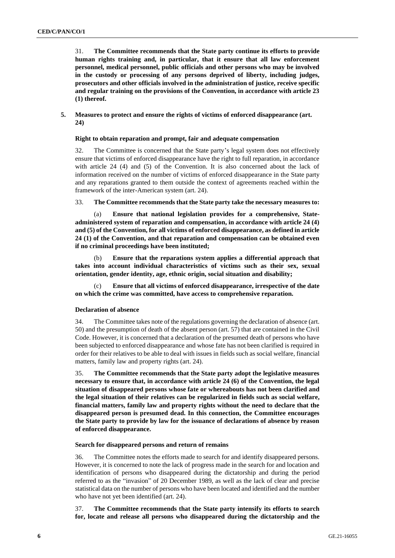31. **The Committee recommends that the State party continue its efforts to provide human rights training and, in particular, that it ensure that all law enforcement personnel, medical personnel, public officials and other persons who may be involved in the custody or processing of any persons deprived of liberty, including judges, prosecutors and other officials involved in the administration of justice, receive specific and regular training on the provisions of the Convention, in accordance with article 23 (1) thereof.**

#### **5. Measures to protect and ensure the rights of victims of enforced disappearance (art. 24)**

#### **Right to obtain reparation and prompt, fair and adequate compensation**

32. The Committee is concerned that the State party's legal system does not effectively ensure that victims of enforced disappearance have the right to full reparation, in accordance with article 24 (4) and (5) of the Convention. It is also concerned about the lack of information received on the number of victims of enforced disappearance in the State party and any reparations granted to them outside the context of agreements reached within the framework of the inter-American system (art. 24).

33. **The Committee recommends that the State party take the necessary measures to:**

(a) **Ensure that national legislation provides for a comprehensive, Stateadministered system of reparation and compensation, in accordance with article 24 (4) and (5) of the Convention, for all victims of enforced disappearance, as defined in article 24 (1) of the Convention, and that reparation and compensation can be obtained even if no criminal proceedings have been instituted;**

(b) **Ensure that the reparations system applies a differential approach that takes into account individual characteristics of victims such as their sex, sexual orientation, gender identity, age, ethnic origin, social situation and disability;**

(c) **Ensure that all victims of enforced disappearance, irrespective of the date on which the crime was committed, have access to comprehensive reparation.**

#### **Declaration of absence**

34. The Committee takes note of the regulations governing the declaration of absence (art. 50) and the presumption of death of the absent person (art. 57) that are contained in the Civil Code. However, it is concerned that a declaration of the presumed death of persons who have been subjected to enforced disappearance and whose fate has not been clarified is required in order for their relatives to be able to deal with issues in fields such as social welfare, financial matters, family law and property rights (art. 24).

35. **The Committee recommends that the State party adopt the legislative measures necessary to ensure that, in accordance with article 24 (6) of the Convention, the legal situation of disappeared persons whose fate or whereabouts has not been clarified and the legal situation of their relatives can be regularized in fields such as social welfare, financial matters, family law and property rights without the need to declare that the disappeared person is presumed dead. In this connection, the Committee encourages the State party to provide by law for the issuance of declarations of absence by reason of enforced disappearance.**

#### **Search for disappeared persons and return of remains**

36. The Committee notes the efforts made to search for and identify disappeared persons. However, it is concerned to note the lack of progress made in the search for and location and identification of persons who disappeared during the dictatorship and during the period referred to as the "invasion" of 20 December 1989, as well as the lack of clear and precise statistical data on the number of persons who have been located and identified and the number who have not yet been identified (art. 24).

37. **The Committee recommends that the State party intensify its efforts to search for, locate and release all persons who disappeared during the dictatorship and the**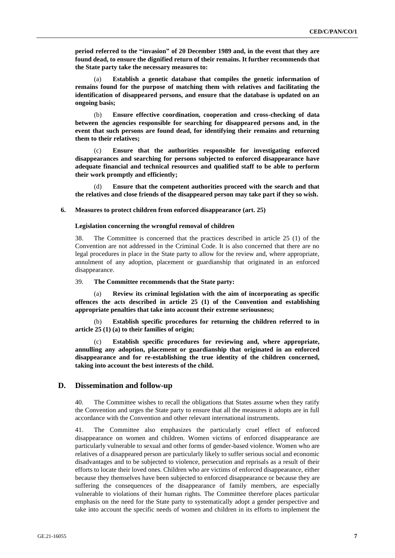**period referred to the "invasion" of 20 December 1989 and, in the event that they are found dead, to ensure the dignified return of their remains. It further recommends that the State party take the necessary measures to:**

(a) **Establish a genetic database that compiles the genetic information of remains found for the purpose of matching them with relatives and facilitating the identification of disappeared persons, and ensure that the database is updated on an ongoing basis;**

(b) **Ensure effective coordination, cooperation and cross-checking of data between the agencies responsible for searching for disappeared persons and, in the event that such persons are found dead, for identifying their remains and returning them to their relatives;**

(c) **Ensure that the authorities responsible for investigating enforced disappearances and searching for persons subjected to enforced disappearance have adequate financial and technical resources and qualified staff to be able to perform their work promptly and efficiently;**

(d) **Ensure that the competent authorities proceed with the search and that the relatives and close friends of the disappeared person may take part if they so wish.**

#### **6. Measures to protect children from enforced disappearance (art. 25)**

#### **Legislation concerning the wrongful removal of children**

38. The Committee is concerned that the practices described in article 25 (1) of the Convention are not addressed in the Criminal Code. It is also concerned that there are no legal procedures in place in the State party to allow for the review and, where appropriate, annulment of any adoption, placement or guardianship that originated in an enforced disappearance.

#### 39. **The Committee recommends that the State party:**

Review its criminal legislation with the aim of incorporating as specific **offences the acts described in article 25 (1) of the Convention and establishing appropriate penalties that take into account their extreme seriousness;**

(b) **Establish specific procedures for returning the children referred to in article 25 (1) (a) to their families of origin;** 

Establish specific procedures for reviewing and, where appropriate, **annulling any adoption, placement or guardianship that originated in an enforced disappearance and for re-establishing the true identity of the children concerned, taking into account the best interests of the child.** 

#### **D. Dissemination and follow-up**

40. The Committee wishes to recall the obligations that States assume when they ratify the Convention and urges the State party to ensure that all the measures it adopts are in full accordance with the Convention and other relevant international instruments.

41. The Committee also emphasizes the particularly cruel effect of enforced disappearance on women and children. Women victims of enforced disappearance are particularly vulnerable to sexual and other forms of gender-based violence. Women who are relatives of a disappeared person are particularly likely to suffer serious social and economic disadvantages and to be subjected to violence, persecution and reprisals as a result of their efforts to locate their loved ones. Children who are victims of enforced disappearance, either because they themselves have been subjected to enforced disappearance or because they are suffering the consequences of the disappearance of family members, are especially vulnerable to violations of their human rights. The Committee therefore places particular emphasis on the need for the State party to systematically adopt a gender perspective and take into account the specific needs of women and children in its efforts to implement the